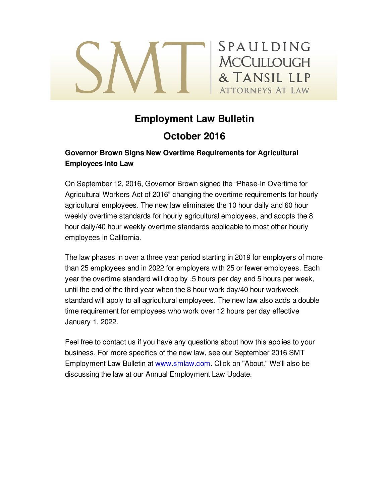# SPAULDING **MCCULLOUGH** & TANSIL LLP **ATTORNEYS AT LAW**

# **Employment Law Bulletin**

# **October 2016**

## **Governor Brown Signs New Overtime Requirements for Agricultural Employees Into Law**

On September 12, 2016, Governor Brown signed the "Phase-In Overtime for Agricultural Workers Act of 2016" changing the overtime requirements for hourly agricultural employees. The new law eliminates the 10 hour daily and 60 hour weekly overtime standards for hourly agricultural employees, and adopts the 8 hour daily/40 hour weekly overtime standards applicable to most other hourly employees in California.

The law phases in over a three year period starting in 2019 for employers of more than 25 employees and in 2022 for employers with 25 or fewer employees. Each year the overtime standard will drop by .5 hours per day and 5 hours per week, until the end of the third year when the 8 hour work day/40 hour workweek standard will apply to all agricultural employees. The new law also adds a double time requirement for employees who work over 12 hours per day effective January 1, 2022.

Feel free to contact us if you have any questions about how this applies to your business. For more specifics of the new law, see our September 2016 SMT Employment Law Bulletin at [www.smlaw.com](http://www.smlaw.com). Click on "About." We'll also be discussing the law at our Annual Employment Law Update.